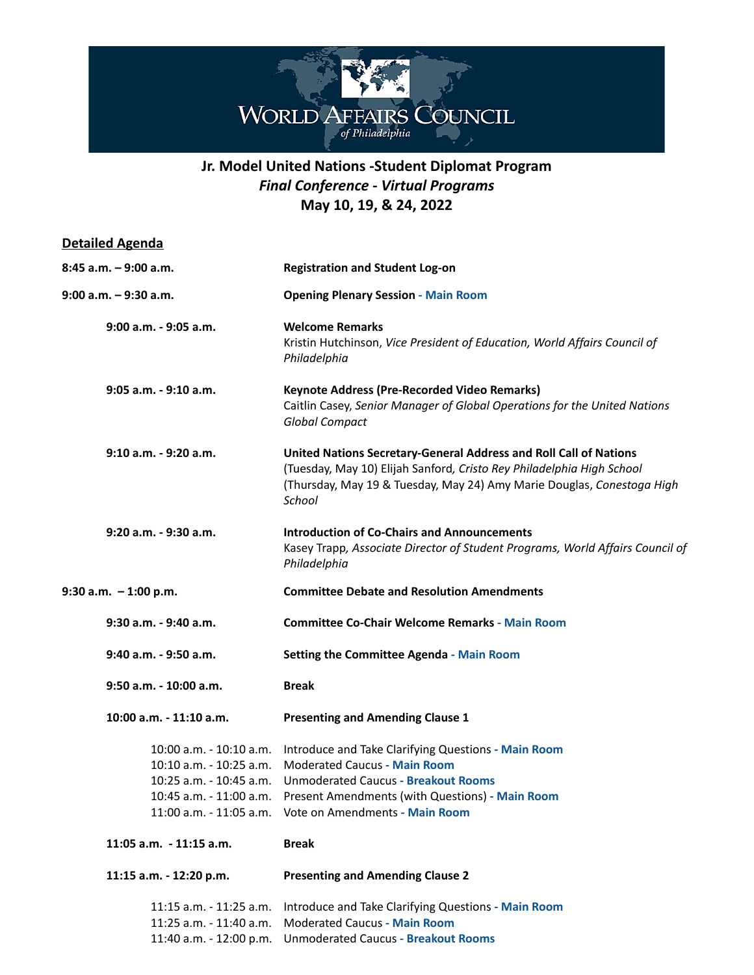

## **Jr. Model United Nations -Student Diplomat Program** *Final Conference - Virtual Programs* **May 10, 19, & 24, 2022**

| <b>Detailed Agenda</b>                                                        |                                                                                                                                                                                                                                                                               |
|-------------------------------------------------------------------------------|-------------------------------------------------------------------------------------------------------------------------------------------------------------------------------------------------------------------------------------------------------------------------------|
| $8:45$ a.m. $-9:00$ a.m.                                                      | <b>Registration and Student Log-on</b>                                                                                                                                                                                                                                        |
| $9:00$ a.m. $-9:30$ a.m.                                                      | <b>Opening Plenary Session - Main Room</b>                                                                                                                                                                                                                                    |
| $9:00$ a.m. - $9:05$ a.m.                                                     | <b>Welcome Remarks</b><br>Kristin Hutchinson, Vice President of Education, World Affairs Council of<br>Philadelphia                                                                                                                                                           |
| $9:05$ a.m. - $9:10$ a.m.                                                     | <b>Keynote Address (Pre-Recorded Video Remarks)</b><br>Caitlin Casey, Senior Manager of Global Operations for the United Nations<br><b>Global Compact</b>                                                                                                                     |
| 9:10 a.m. - 9:20 a.m.                                                         | United Nations Secretary-General Address and Roll Call of Nations<br>(Tuesday, May 10) Elijah Sanford, Cristo Rey Philadelphia High School<br>(Thursday, May 19 & Tuesday, May 24) Amy Marie Douglas, Conestoga High<br>School                                                |
| $9:20$ a.m. - $9:30$ a.m.                                                     | <b>Introduction of Co-Chairs and Announcements</b><br>Kasey Trapp, Associate Director of Student Programs, World Affairs Council of<br>Philadelphia                                                                                                                           |
| $9:30$ a.m. $-1:00$ p.m.                                                      | <b>Committee Debate and Resolution Amendments</b>                                                                                                                                                                                                                             |
| 9:30 a.m. - 9:40 a.m.                                                         | <b>Committee Co-Chair Welcome Remarks - Main Room</b>                                                                                                                                                                                                                         |
| 9:40 a.m. - 9:50 a.m.                                                         | <b>Setting the Committee Agenda - Main Room</b>                                                                                                                                                                                                                               |
| 9:50 a.m. - 10:00 a.m.                                                        | <b>Break</b>                                                                                                                                                                                                                                                                  |
| 10:00 a.m. - 11:10 a.m.                                                       | <b>Presenting and Amending Clause 1</b>                                                                                                                                                                                                                                       |
| 10:00 a.m. - 10:10 a.m.<br>10:10 a.m. - 10:25 a.m.<br>10:25 a.m. - 10:45 a.m. | Introduce and Take Clarifying Questions - Main Room<br><b>Moderated Caucus - Main Room</b><br><b>Unmoderated Caucus - Breakout Rooms</b><br>10:45 a.m. - 11:00 a.m. Present Amendments (with Questions) - Main Room<br>11:00 a.m. - 11:05 a.m. Vote on Amendments - Main Room |
| 11:05 a.m. - 11:15 a.m.                                                       | <b>Break</b>                                                                                                                                                                                                                                                                  |
| 11:15 a.m. - 12:20 p.m.                                                       | <b>Presenting and Amending Clause 2</b>                                                                                                                                                                                                                                       |
| 11:15 a.m. - 11:25 a.m.<br>11:25 a.m. - 11:40 a.m.<br>11:40 a.m. - 12:00 p.m. | Introduce and Take Clarifying Questions - Main Room<br><b>Moderated Caucus - Main Room</b><br><b>Unmoderated Caucus - Breakout Rooms</b>                                                                                                                                      |